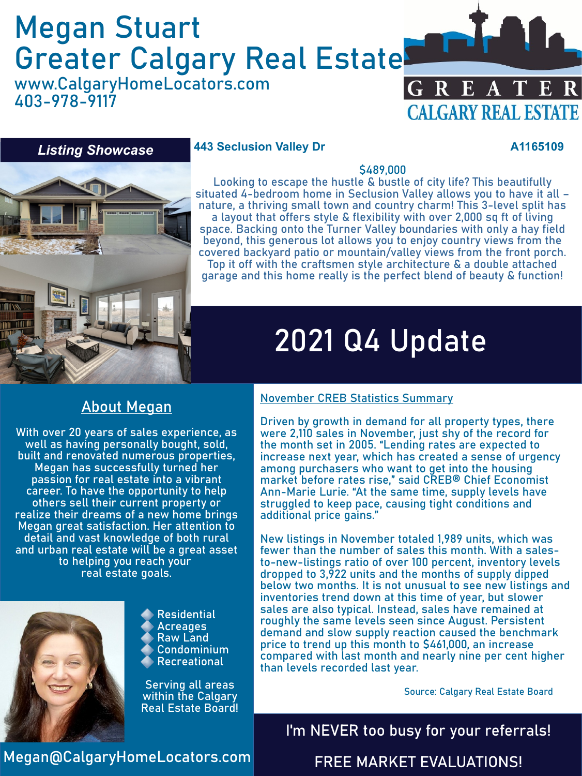# Megan Stuart Greater Calgary Real Estate

www.CalgaryHomeLocators.com 403-978-9117



### *Listing Showcase*

#### **443 Seclusion Valley Dr A1165109**

### \$489,000

Looking to escape the hustle & bustle of city life? This beautifully situated 4-bedroom home in Seclusion Valley allows you to have it all – nature, a thriving small town and country charm! This 3-level split has a layout that offers style & flexibility with over 2,000 sq ft of living space. Backing onto the Turner Valley boundaries with only a hay field beyond, this generous lot allows you to enjoy country views from the covered backyard patio or mountain/valley views from the front porch. Top it off with the craftsmen style architecture & a double attached garage and this home really is the perfect blend of beauty & function!

# 2021 Q4 Update

### About Megan

With over 20 years of sales experience, as well as having personally bought, sold, built and renovated numerous properties, Megan has successfully turned her passion for real estate into a vibrant career. To have the opportunity to help others sell their current property or realize their dreams of a new home brings Megan great satisfaction. Her attention to detail and vast knowledge of both rural and urban real estate will be a great asset to helping you reach your real estate goals.



Residential **Acreages** Raw Land Condominium Recreational

Serving all areas within the Calgary Real Estate Board!

#### November CREB Statistics Summary

Driven by growth in demand for all property types, there were 2,110 sales in November, just shy of the record for the month set in 2005. "Lending rates are expected to increase next year, which has created a sense of urgency among purchasers who want to get into the housing market before rates rise," said CREB® Chief Economist Ann-Marie Lurie. "At the same time, supply levels have struggled to keep pace, causing tight conditions and additional price gains."

New listings in November totaled 1,989 units, which was fewer than the number of sales this month. With a salesto-new-listings ratio of over 100 percent, inventory levels dropped to 3,922 units and the months of supply dipped below two months. It is not unusual to see new listings and inventories trend down at this time of year, but slower sales are also typical. Instead, sales have remained at roughly the same levels seen since August. Persistent demand and slow supply reaction caused the benchmark price to trend up this month to \$461,000, an increase compared with last month and nearly nine per cent higher than levels recorded last year.

Source: Calgary Real Estate Board

I'm NEVER too busy for your referrals!

Megan@CalgaryHomeLocators.com

FREE MARKET EVALUATIONS!